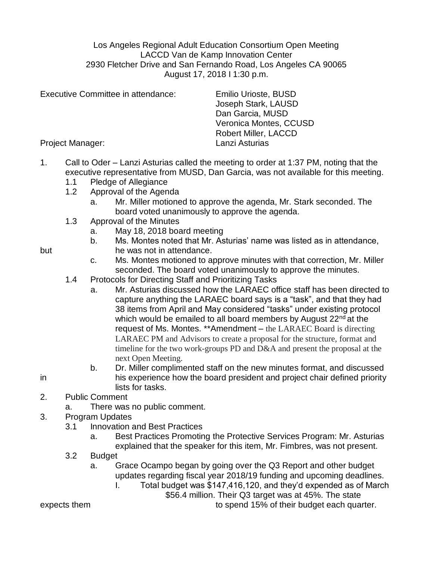Los Angeles Regional Adult Education Consortium Open Meeting LACCD Van de Kamp Innovation Center 2930 Fletcher Drive and San Fernando Road, Los Angeles CA 90065 August 17, 2018 I 1:30 p.m.

| Executive Committee in attendance: | Emilio Urioste, BUSD<br>Joseph Stark, LAUSD<br>Dan Garcia, MUSD |
|------------------------------------|-----------------------------------------------------------------|
|                                    | Veronica Montes, CCUSD<br><b>Robert Miller, LACCD</b>           |
| Project Manager:                   | Lanzi Asturias                                                  |

- 1. Call to Oder Lanzi Asturias called the meeting to order at 1:37 PM, noting that the executive representative from MUSD, Dan Garcia, was not available for this meeting.
	- 1.1 Pledge of Allegiance
	- 1.2 Approval of the Agenda
		- a. Mr. Miller motioned to approve the agenda, Mr. Stark seconded. The board voted unanimously to approve the agenda.
	- 1.3 Approval of the Minutes
		- a. May 18, 2018 board meeting
- b. Ms. Montes noted that Mr. Asturias' name was listed as in attendance, but he was not in attendance.
	- c. Ms. Montes motioned to approve minutes with that correction, Mr. Miller seconded. The board voted unanimously to approve the minutes.
	- 1.4 Protocols for Directing Staff and Prioritizing Tasks
		- a. Mr. Asturias discussed how the LARAEC office staff has been directed to capture anything the LARAEC board says is a "task", and that they had 38 items from April and May considered "tasks" under existing protocol which would be emailed to all board members by August  $22<sup>nd</sup>$  at the request of Ms. Montes. \*\*Amendment – the LARAEC Board is directing LARAEC PM and Advisors to create a proposal for the structure, format and timeline for the two work-groups PD and D&A and present the proposal at the next Open Meeting.
- b. Dr. Miller complimented staff on the new minutes format, and discussed in his experience how the board president and project chair defined priority lists for tasks.
- 2. Public Comment
	- a. There was no public comment.
- 3. Program Updates
	- 3.1 Innovation and Best Practices
		- a. Best Practices Promoting the Protective Services Program: Mr. Asturias explained that the speaker for this item, Mr. Fimbres, was not present.
	- 3.2 Budget
		- a. Grace Ocampo began by going over the Q3 Report and other budget updates regarding fiscal year 2018/19 funding and upcoming deadlines.
			- I. Total budget was \$147,416,120, and they'd expended as of March

\$56.4 million. Their Q3 target was at 45%. The state

expects them to spend 15% of their budget each quarter.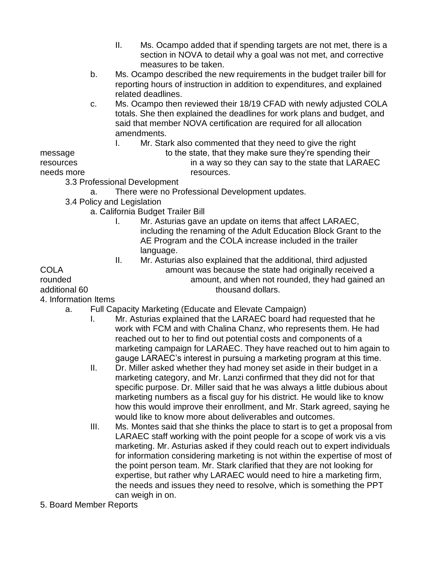- II. Ms. Ocampo added that if spending targets are not met, there is a section in NOVA to detail why a goal was not met, and corrective measures to be taken.
- b. Ms. Ocampo described the new requirements in the budget trailer bill for reporting hours of instruction in addition to expenditures, and explained related deadlines.
- c. Ms. Ocampo then reviewed their 18/19 CFAD with newly adjusted COLA totals. She then explained the deadlines for work plans and budget, and said that member NOVA certification are required for all allocation amendments.
	- I. Mr. Stark also commented that they need to give the right

message to the state, that they make sure they're spending their resources in a way so they can say to the state that LARAEC needs more resources.

3.3 Professional Development

- a. There were no Professional Development updates.
- 3.4 Policy and Legislation
	- a. California Budget Trailer Bill
		- I. Mr. Asturias gave an update on items that affect LARAEC, including the renaming of the Adult Education Block Grant to the AE Program and the COLA increase included in the trailer language.
- II. Mr. Asturias also explained that the additional, third adjusted COLA amount was because the state had originally received a rounded amount, and when not rounded, they had gained an additional 60 thousand dollars.

4. Information Items

- a. Full Capacity Marketing (Educate and Elevate Campaign)
	- I. Mr. Asturias explained that the LARAEC board had requested that he work with FCM and with Chalina Chanz, who represents them. He had reached out to her to find out potential costs and components of a marketing campaign for LARAEC. They have reached out to him again to gauge LARAEC's interest in pursuing a marketing program at this time.
		- II. Dr. Miller asked whether they had money set aside in their budget in a marketing category, and Mr. Lanzi confirmed that they did not for that specific purpose. Dr. Miller said that he was always a little dubious about marketing numbers as a fiscal guy for his district. He would like to know how this would improve their enrollment, and Mr. Stark agreed, saying he would like to know more about deliverables and outcomes.
		- III. Ms. Montes said that she thinks the place to start is to get a proposal from LARAEC staff working with the point people for a scope of work vis a vis marketing. Mr. Asturias asked if they could reach out to expert individuals for information considering marketing is not within the expertise of most of the point person team. Mr. Stark clarified that they are not looking for expertise, but rather why LARAEC would need to hire a marketing firm, the needs and issues they need to resolve, which is something the PPT can weigh in on.
- 5. Board Member Reports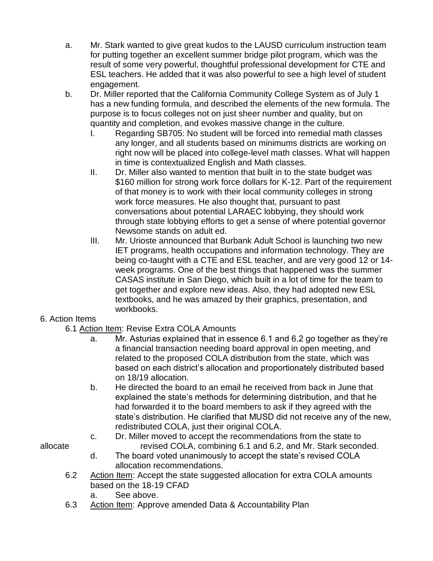- a. Mr. Stark wanted to give great kudos to the LAUSD curriculum instruction team for putting together an excellent summer bridge pilot program, which was the result of some very powerful, thoughtful professional development for CTE and ESL teachers. He added that it was also powerful to see a high level of student engagement.
- b. Dr. Miller reported that the California Community College System as of July 1 has a new funding formula, and described the elements of the new formula. The purpose is to focus colleges not on just sheer number and quality, but on quantity and completion, and evokes massive change in the culture.
	- I. Regarding SB705: No student will be forced into remedial math classes any longer, and all students based on minimums districts are working on right now will be placed into college-level math classes. What will happen in time is contextualized English and Math classes.
	- II. Dr. Miller also wanted to mention that built in to the state budget was \$160 million for strong work force dollars for K-12. Part of the requirement of that money is to work with their local community colleges in strong work force measures. He also thought that, pursuant to past conversations about potential LARAEC lobbying, they should work through state lobbying efforts to get a sense of where potential governor Newsome stands on adult ed.
	- III. Mr. Urioste announced that Burbank Adult School is launching two new IET programs, health occupations and information technology. They are being co-taught with a CTE and ESL teacher, and are very good 12 or 14 week programs. One of the best things that happened was the summer CASAS institute in San Diego, which built in a lot of time for the team to get together and explore new ideas. Also, they had adopted new ESL textbooks, and he was amazed by their graphics, presentation, and workbooks.

# 6. Action Items

- 6.1 Action Item: Revise Extra COLA Amounts
	- a. Mr. Asturias explained that in essence 6.1 and 6.2 go together as they're a financial transaction needing board approval in open meeting, and related to the proposed COLA distribution from the state, which was based on each district's allocation and proportionately distributed based on 18/19 allocation.
	- b. He directed the board to an email he received from back in June that explained the state's methods for determining distribution, and that he had forwarded it to the board members to ask if they agreed with the state's distribution. He clarified that MUSD did not receive any of the new, redistributed COLA, just their original COLA.
- c. Dr. Miller moved to accept the recommendations from the state to allocate revised COLA, combining 6.1 and 6.2, and Mr. Stark seconded.
	- d. The board voted unanimously to accept the state's revised COLA allocation recommendations.
	- 6.2 Action Item: Accept the state suggested allocation for extra COLA amounts based on the 18-19 CFAD
		- a. See above.
	- 6.3 Action Item: Approve amended Data & Accountability Plan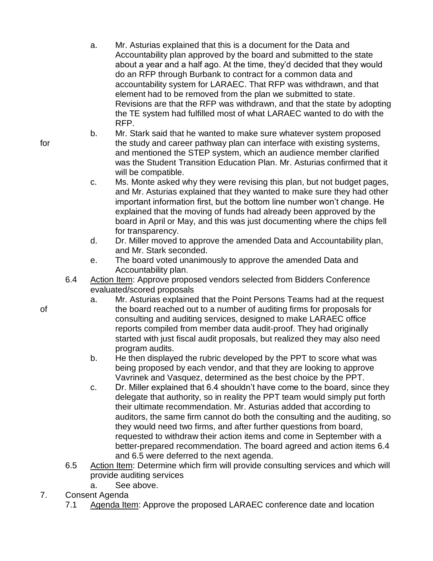- a. Mr. Asturias explained that this is a document for the Data and Accountability plan approved by the board and submitted to the state about a year and a half ago. At the time, they'd decided that they would do an RFP through Burbank to contract for a common data and accountability system for LARAEC. That RFP was withdrawn, and that element had to be removed from the plan we submitted to state. Revisions are that the RFP was withdrawn, and that the state by adopting the TE system had fulfilled most of what LARAEC wanted to do with the RFP.
- b. Mr. Stark said that he wanted to make sure whatever system proposed for the study and career pathway plan can interface with existing systems, and mentioned the STEP system, which an audience member clarified was the Student Transition Education Plan. Mr. Asturias confirmed that it will be compatible.
	- c. Ms. Monte asked why they were revising this plan, but not budget pages, and Mr. Asturias explained that they wanted to make sure they had other important information first, but the bottom line number won't change. He explained that the moving of funds had already been approved by the board in April or May, and this was just documenting where the chips fell for transparency.
	- d. Dr. Miller moved to approve the amended Data and Accountability plan, and Mr. Stark seconded.
	- e. The board voted unanimously to approve the amended Data and Accountability plan.
	- 6.4 Action Item: Approve proposed vendors selected from Bidders Conference evaluated/scored proposals
- a. Mr. Asturias explained that the Point Persons Teams had at the request of the board reached out to a number of auditing firms for proposals for consulting and auditing services, designed to make LARAEC office reports compiled from member data audit-proof. They had originally started with just fiscal audit proposals, but realized they may also need program audits.
	- b. He then displayed the rubric developed by the PPT to score what was being proposed by each vendor, and that they are looking to approve Vavrinek and Vasquez, determined as the best choice by the PPT.
	- c. Dr. Miller explained that 6.4 shouldn't have come to the board, since they delegate that authority, so in reality the PPT team would simply put forth their ultimate recommendation. Mr. Asturias added that according to auditors, the same firm cannot do both the consulting and the auditing, so they would need two firms, and after further questions from board, requested to withdraw their action items and come in September with a better-prepared recommendation. The board agreed and action items 6.4 and 6.5 were deferred to the next agenda.
	- 6.5 Action Item: Determine which firm will provide consulting services and which will provide auditing services
		- a. See above.
- 7. Consent Agenda
	- 7.1 Agenda Item: Approve the proposed LARAEC conference date and location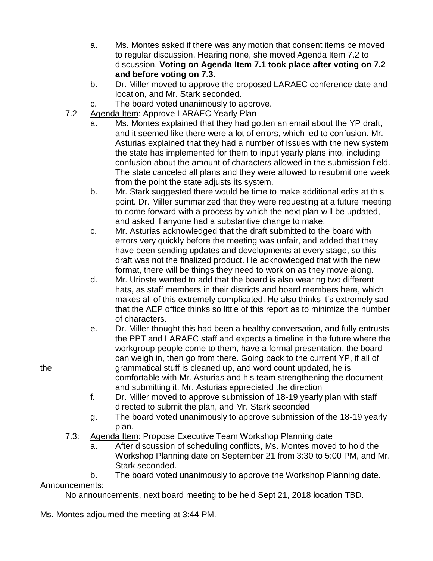- a. Ms. Montes asked if there was any motion that consent items be moved to regular discussion. Hearing none, she moved Agenda Item 7.2 to discussion. **Voting on Agenda Item 7.1 took place after voting on 7.2 and before voting on 7.3.**
- b. Dr. Miller moved to approve the proposed LARAEC conference date and location, and Mr. Stark seconded.
- c. The board voted unanimously to approve.
- 7.2 Agenda Item: Approve LARAEC Yearly Plan
	- a. Ms. Montes explained that they had gotten an email about the YP draft, and it seemed like there were a lot of errors, which led to confusion. Mr. Asturias explained that they had a number of issues with the new system the state has implemented for them to input yearly plans into, including confusion about the amount of characters allowed in the submission field. The state canceled all plans and they were allowed to resubmit one week from the point the state adjusts its system.
		- b. Mr. Stark suggested there would be time to make additional edits at this point. Dr. Miller summarized that they were requesting at a future meeting to come forward with a process by which the next plan will be updated, and asked if anyone had a substantive change to make.
		- c. Mr. Asturias acknowledged that the draft submitted to the board with errors very quickly before the meeting was unfair, and added that they have been sending updates and developments at every stage, so this draft was not the finalized product. He acknowledged that with the new format, there will be things they need to work on as they move along.
		- d. Mr. Urioste wanted to add that the board is also wearing two different hats, as staff members in their districts and board members here, which makes all of this extremely complicated. He also thinks it's extremely sad that the AEP office thinks so little of this report as to minimize the number of characters.
- e. Dr. Miller thought this had been a healthy conversation, and fully entrusts the PPT and LARAEC staff and expects a timeline in the future where the workgroup people come to them, have a formal presentation, the board can weigh in, then go from there. Going back to the current YP, if all of the grammatical stuff is cleaned up, and word count updated, he is comfortable with Mr. Asturias and his team strengthening the document and submitting it. Mr. Asturias appreciated the direction
	- f. Dr. Miller moved to approve submission of 18-19 yearly plan with staff directed to submit the plan, and Mr. Stark seconded
	- g. The board voted unanimously to approve submission of the 18-19 yearly plan.
	- 7.3: Agenda Item: Propose Executive Team Workshop Planning date
		- a. After discussion of scheduling conflicts, Ms. Montes moved to hold the Workshop Planning date on September 21 from 3:30 to 5:00 PM, and Mr. Stark seconded.

b. The board voted unanimously to approve the Workshop Planning date. Announcements:

No announcements, next board meeting to be held Sept 21, 2018 location TBD.

Ms. Montes adjourned the meeting at 3:44 PM.